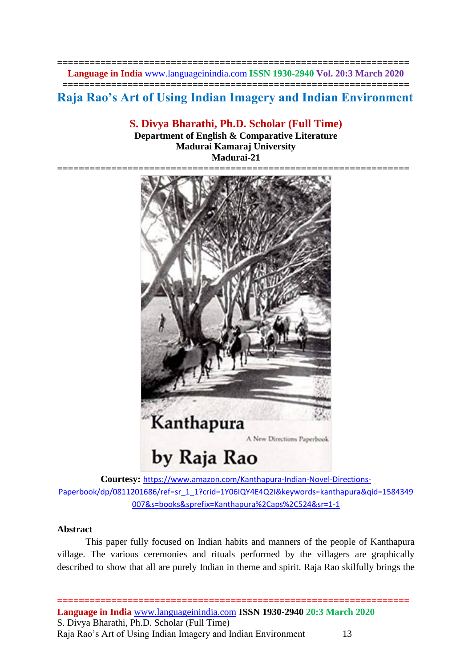**================================================================= Language in India** [www.languageinindia.com](http://www.languageinindia.com/) **ISSN 1930-2940 Vol. 20:3 March 2020**

**================================================================**

**Raja Rao's Art of Using Indian Imagery and Indian Environment** 

**S. Divya Bharathi, Ph.D. Scholar (Full Time)**

**Department of English & Comparative Literature Madurai Kamaraj University Madurai-21**



**Courtesy:** [https://www.amazon.com/Kanthapura-Indian-Novel-Directions-](https://www.amazon.com/Kanthapura-Indian-Novel-Directions-Paperbook/dp/0811201686/ref=sr_1_1?crid=1Y06IQY4E4Q2I&keywords=kanthapura&qid=1584349007&s=books&sprefix=Kanthapura%2Caps%2C524&sr=1-1)[Paperbook/dp/0811201686/ref=sr\\_1\\_1?crid=1Y06IQY4E4Q2I&keywords=kanthapura&qid=1584349](https://www.amazon.com/Kanthapura-Indian-Novel-Directions-Paperbook/dp/0811201686/ref=sr_1_1?crid=1Y06IQY4E4Q2I&keywords=kanthapura&qid=1584349007&s=books&sprefix=Kanthapura%2Caps%2C524&sr=1-1) [007&s=books&sprefix=Kanthapura%2Caps%2C524&sr=1-1](https://www.amazon.com/Kanthapura-Indian-Novel-Directions-Paperbook/dp/0811201686/ref=sr_1_1?crid=1Y06IQY4E4Q2I&keywords=kanthapura&qid=1584349007&s=books&sprefix=Kanthapura%2Caps%2C524&sr=1-1)

## **Abstract**

This paper fully focused on Indian habits and manners of the people of Kanthapura village. The various ceremonies and rituals performed by the villagers are graphically described to show that all are purely Indian in theme and spirit. Raja Rao skilfully brings the

**================================================================= Language in India** [www.languageinindia.com](http://www.languageinindia.com/) **ISSN 1930-2940 20:3 March 2020** S. Divya Bharathi, Ph.D. Scholar (Full Time) Raja Rao's Art of Using Indian Imagery and Indian Environment 13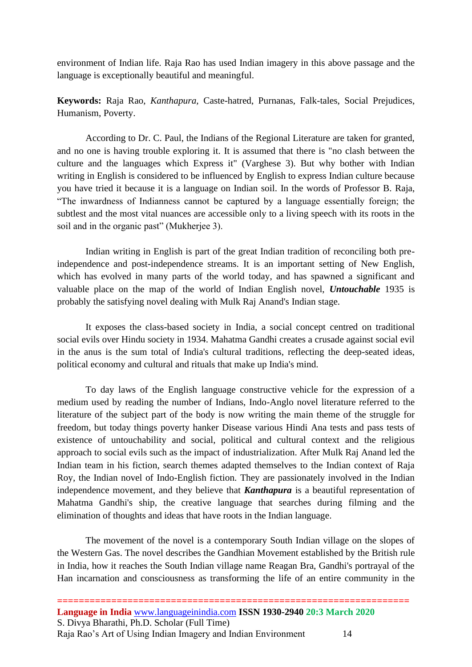environment of Indian life. Raja Rao has used Indian imagery in this above passage and the language is exceptionally beautiful and meaningful.

**Keywords:** Raja Rao, *Kanthapura,* Caste-hatred, Purnanas, Falk-tales, Social Prejudices, Humanism, Poverty.

According to Dr. C. Paul, the Indians of the Regional Literature are taken for granted, and no one is having trouble exploring it. It is assumed that there is "no clash between the culture and the languages which Express it" (Varghese 3). But why bother with Indian writing in English is considered to be influenced by English to express Indian culture because you have tried it because it is a language on Indian soil. In the words of Professor B. Raja, "The inwardness of Indianness cannot be captured by a language essentially foreign; the subtlest and the most vital nuances are accessible only to a living speech with its roots in the soil and in the organic past" (Mukherjee 3).

Indian writing in English is part of the great Indian tradition of reconciling both preindependence and post-independence streams. It is an important setting of New English, which has evolved in many parts of the world today, and has spawned a significant and valuable place on the map of the world of Indian English novel, *Untouchable* 1935 is probably the satisfying novel dealing with Mulk Raj Anand's Indian stage.

It exposes the class-based society in India, a social concept centred on traditional social evils over Hindu society in 1934. Mahatma Gandhi creates a crusade against social evil in the anus is the sum total of India's cultural traditions, reflecting the deep-seated ideas, political economy and cultural and rituals that make up India's mind.

To day laws of the English language constructive vehicle for the expression of a medium used by reading the number of Indians, Indo-Anglo novel literature referred to the literature of the subject part of the body is now writing the main theme of the struggle for freedom, but today things poverty hanker Disease various Hindi Ana tests and pass tests of existence of untouchability and social, political and cultural context and the religious approach to social evils such as the impact of industrialization. After Mulk Raj Anand led the Indian team in his fiction, search themes adapted themselves to the Indian context of Raja Roy, the Indian novel of Indo-English fiction. They are passionately involved in the Indian independence movement, and they believe that *Kanthapura* is a beautiful representation of Mahatma Gandhi's ship, the creative language that searches during filming and the elimination of thoughts and ideas that have roots in the Indian language.

The movement of the novel is a contemporary South Indian village on the slopes of the Western Gas. The novel describes the Gandhian Movement established by the British rule in India, how it reaches the South Indian village name Reagan Bra, Gandhi's portrayal of the Han incarnation and consciousness as transforming the life of an entire community in the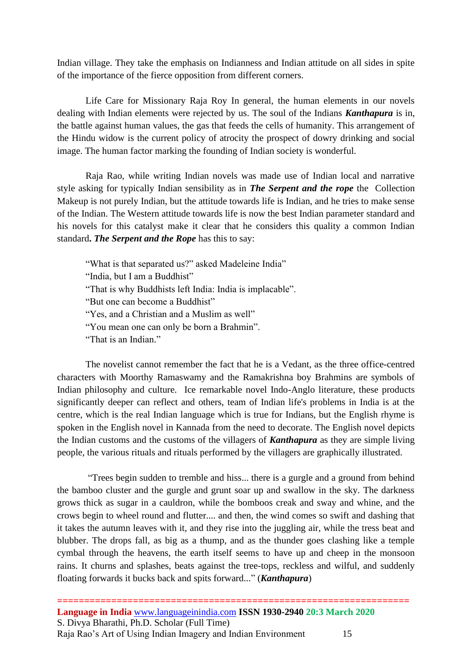Indian village. They take the emphasis on Indianness and Indian attitude on all sides in spite of the importance of the fierce opposition from different corners.

Life Care for Missionary Raja Roy In general, the human elements in our novels dealing with Indian elements were rejected by us. The soul of the Indians *Kanthapura* is in, the battle against human values, the gas that feeds the cells of humanity. This arrangement of the Hindu widow is the current policy of atrocity the prospect of dowry drinking and social image. The human factor marking the founding of Indian society is wonderful.

Raja Rao, while writing Indian novels was made use of Indian local and narrative style asking for typically Indian sensibility as in *The Serpent and the rope* the Collection Makeup is not purely Indian, but the attitude towards life is Indian, and he tries to make sense of the Indian. The Western attitude towards life is now the best Indian parameter standard and his novels for this catalyst make it clear that he considers this quality a common Indian standard**.** *The Serpent and the Rope* has this to say:

"What is that separated us?" asked Madeleine India" "India, but I am a Buddhist" "That is why Buddhists left India: India is implacable". "But one can become a Buddhist" "Yes, and a Christian and a Muslim as well" "You mean one can only be born a Brahmin". "That is an Indian."

The novelist cannot remember the fact that he is a Vedant, as the three office-centred characters with Moorthy Ramaswamy and the Ramakrishna boy Brahmins are symbols of Indian philosophy and culture. Ice remarkable novel Indo-Anglo literature, these products significantly deeper can reflect and others, team of Indian life's problems in India is at the centre, which is the real Indian language which is true for Indians, but the English rhyme is spoken in the English novel in Kannada from the need to decorate. The English novel depicts the Indian customs and the customs of the villagers of *Kanthapura* as they are simple living people, the various rituals and rituals performed by the villagers are graphically illustrated.

"Trees begin sudden to tremble and hiss... there is a gurgle and a ground from behind the bamboo cluster and the gurgle and grunt soar up and swallow in the sky. The darkness grows thick as sugar in a cauldron, while the bomboos creak and sway and whine, and the crows begin to wheel round and flutter.... and then, the wind comes so swift and dashing that it takes the autumn leaves with it, and they rise into the juggling air, while the tress beat and blubber. The drops fall, as big as a thump, and as the thunder goes clashing like a temple cymbal through the heavens, the earth itself seems to have up and cheep in the monsoon rains. It churns and splashes, beats against the tree-tops, reckless and wilful, and suddenly floating forwards it bucks back and spits forward..." (*Kanthapura*)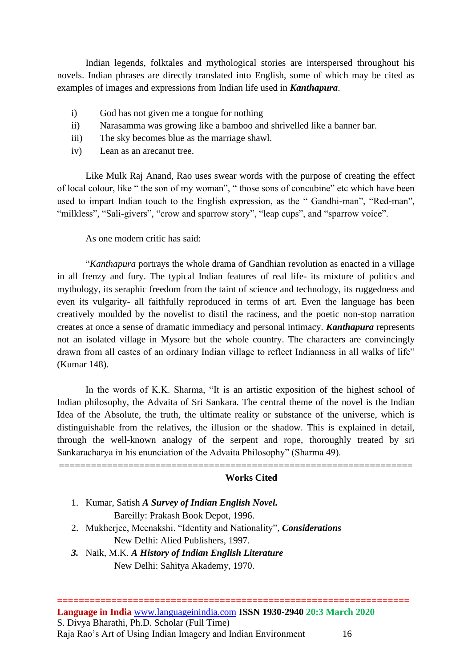Indian legends, folktales and mythological stories are interspersed throughout his novels. Indian phrases are directly translated into English, some of which may be cited as examples of images and expressions from Indian life used in *Kanthapura*.

- i) God has not given me a tongue for nothing
- ii) Narasamma was growing like a bamboo and shrivelled like a banner bar.
- iii) The sky becomes blue as the marriage shawl.
- iv) Lean as an arecanut tree.

Like Mulk Raj Anand, Rao uses swear words with the purpose of creating the effect of local colour, like " the son of my woman", " those sons of concubine" etc which have been used to impart Indian touch to the English expression, as the " Gandhi-man", "Red-man", "milkless", "Sali-givers", "crow and sparrow story", "leap cups", and "sparrow voice".

As one modern critic has said:

"*Kanthapura* portrays the whole drama of Gandhian revolution as enacted in a village in all frenzy and fury. The typical Indian features of real life- its mixture of politics and mythology, its seraphic freedom from the taint of science and technology, its ruggedness and even its vulgarity- all faithfully reproduced in terms of art. Even the language has been creatively moulded by the novelist to distil the raciness, and the poetic non-stop narration creates at once a sense of dramatic immediacy and personal intimacy. *Kanthapura* represents not an isolated village in Mysore but the whole country. The characters are convincingly drawn from all castes of an ordinary Indian village to reflect Indianness in all walks of life" (Kumar 148).

In the words of K.K. Sharma, "It is an artistic exposition of the highest school of Indian philosophy, the Advaita of Sri Sankara. The central theme of the novel is the Indian Idea of the Absolute, the truth, the ultimate reality or substance of the universe, which is distinguishable from the relatives, the illusion or the shadow. This is explained in detail, through the well-known analogy of the serpent and rope, thoroughly treated by sri Sankaracharya in his enunciation of the Advaita Philosophy" (Sharma 49).

==================================================================

## **Works Cited**

- 1. Kumar, Satish *A Survey of Indian English Novel.* Bareilly: Prakash Book Depot, 1996.
- 2. Mukherjee, Meenakshi. "Identity and Nationality", *Considerations* New Delhi: Alied Publishers, 1997.
- *3.* Naik, M.K. *A History of Indian English Literature* New Delhi: Sahitya Akademy, 1970.